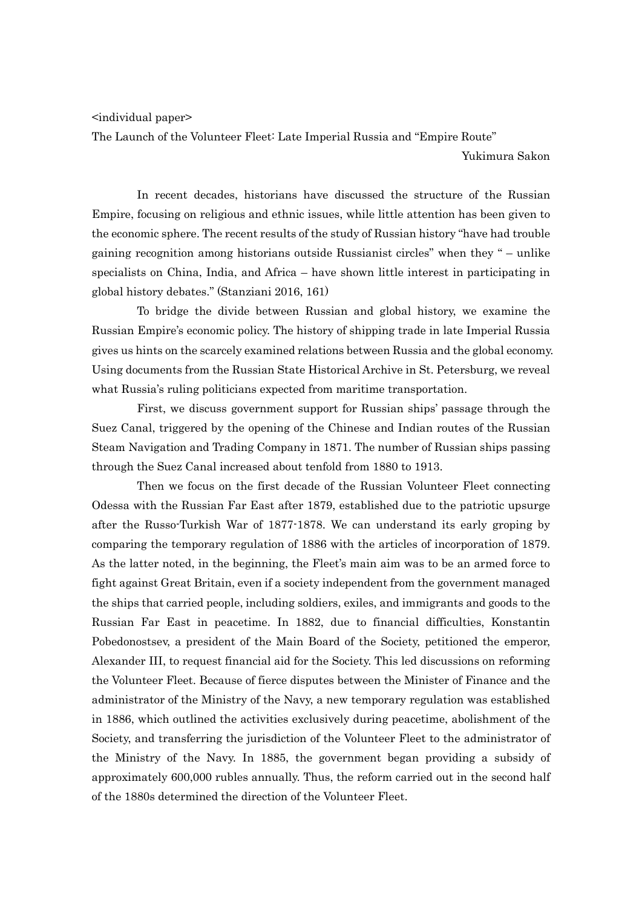<individual paper>

The Launch of the Volunteer Fleet: Late Imperial Russia and "Empire Route"

Yukimura Sakon

In recent decades, historians have discussed the structure of the Russian Empire, focusing on religious and ethnic issues, while little attention has been given to the economic sphere. The recent results of the study of Russian history "have had trouble gaining recognition among historians outside Russianist circles" when they " – unlike specialists on China, India, and Africa – have shown little interest in participating in global history debates." (Stanziani 2016, 161)

To bridge the divide between Russian and global history, we examine the Russian Empire's economic policy. The history of shipping trade in late Imperial Russia gives us hints on the scarcely examined relations between Russia and the global economy. Using documents from the Russian State Historical Archive in St. Petersburg, we reveal what Russia's ruling politicians expected from maritime transportation.

First, we discuss government support for Russian ships' passage through the Suez Canal, triggered by the opening of the Chinese and Indian routes of the Russian Steam Navigation and Trading Company in 1871. The number of Russian ships passing through the Suez Canal increased about tenfold from 1880 to 1913.

Then we focus on the first decade of the Russian Volunteer Fleet connecting Odessa with the Russian Far East after 1879, established due to the patriotic upsurge after the Russo-Turkish War of 1877-1878. We can understand its early groping by comparing the temporary regulation of 1886 with the articles of incorporation of 1879. As the latter noted, in the beginning, the Fleet's main aim was to be an armed force to fight against Great Britain, even if a society independent from the government managed the ships that carried people, including soldiers, exiles, and immigrants and goods to the Russian Far East in peacetime. In 1882, due to financial difficulties, Konstantin Pobedonostsev, a president of the Main Board of the Society, petitioned the emperor, Alexander III, to request financial aid for the Society. This led discussions on reforming the Volunteer Fleet. Because of fierce disputes between the Minister of Finance and the administrator of the Ministry of the Navy, a new temporary regulation was established in 1886, which outlined the activities exclusively during peacetime, abolishment of the Society, and transferring the jurisdiction of the Volunteer Fleet to the administrator of the Ministry of the Navy. In 1885, the government began providing a subsidy of approximately 600,000 rubles annually. Thus, the reform carried out in the second half of the 1880s determined the direction of the Volunteer Fleet.